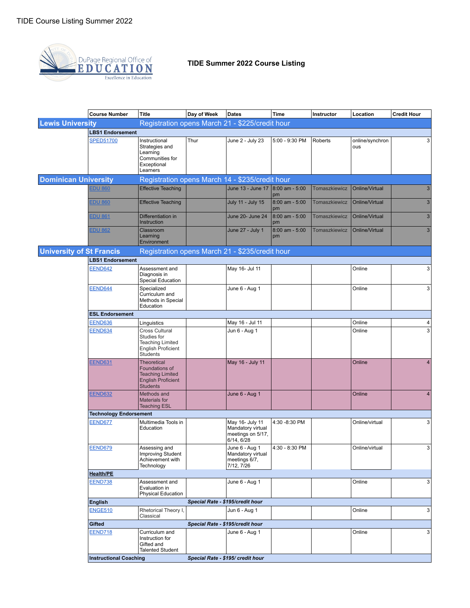

|                             | <b>Course Number</b>                                                               | <b>Title</b>                                                                                                    | Day of Week                      | Dates                                                                   | Time                     | Instructor    | Location               | <b>Credit Hour</b>      |  |  |  |
|-----------------------------|------------------------------------------------------------------------------------|-----------------------------------------------------------------------------------------------------------------|----------------------------------|-------------------------------------------------------------------------|--------------------------|---------------|------------------------|-------------------------|--|--|--|
| <b>Lewis University</b>     |                                                                                    | Registration opens March 21 - \$225/credit hour                                                                 |                                  |                                                                         |                          |               |                        |                         |  |  |  |
|                             | <b>LBS1 Endorsement</b>                                                            |                                                                                                                 |                                  |                                                                         |                          |               |                        |                         |  |  |  |
|                             | <b>SPED51700</b>                                                                   | Instructional<br>Strategies and<br>Learning<br>Communities for<br>Exceptional<br>Learners                       | Thur                             | June 2 - July 23                                                        | 5:00 - 9:30 PM           | Roberts       | online/synchron<br>ous | 3                       |  |  |  |
| <b>Dominican University</b> |                                                                                    | Registration opens March 14 - \$235/credit hour                                                                 |                                  |                                                                         |                          |               |                        |                         |  |  |  |
|                             | <b>EDU 860</b>                                                                     | <b>Effective Teaching</b>                                                                                       |                                  | June 13 - June 17 8:00 am - 5:00                                        | pm                       | Tomaszkiewicz | Online/Virtual         | $\mathbf{3}$            |  |  |  |
|                             | <b>EDU 860</b>                                                                     | <b>Effective Teaching</b>                                                                                       |                                  | July 11 - July 15                                                       | $8:00$ am - 5:00<br>pm   | Tomaszkiewicz | Online/Virtual         | 3 <sup>1</sup>          |  |  |  |
|                             | <b>EDU 861</b>                                                                     | Differentiation in<br>Instruction                                                                               |                                  | June 20- June 24                                                        | $8:00$ am - 5:00<br>pm   | Tomaszkiewicz | Online/Virtual         | 3 <sup>1</sup>          |  |  |  |
|                             | <b>EDU 862</b>                                                                     | Classroom<br>Learning<br>Environment                                                                            |                                  | June 27 - July 1                                                        | $8:00$ am - $5:00$<br>pm | Tomaszkiewicz | Online/Virtual         | 3 <sup>1</sup>          |  |  |  |
|                             | <b>University of St Francis</b><br>Registration opens March 21 - \$235/credit hour |                                                                                                                 |                                  |                                                                         |                          |               |                        |                         |  |  |  |
|                             | <b>LBS1 Endorsement</b>                                                            |                                                                                                                 |                                  |                                                                         |                          |               |                        |                         |  |  |  |
|                             | EEND642                                                                            | Assessment and<br>Diagnosis in<br>Special Education                                                             |                                  | May 16- Jul 11                                                          |                          |               | Online                 | 3                       |  |  |  |
|                             | EEND644                                                                            | Specialized<br>Curriculum and<br>Methods in Special<br>Education                                                |                                  | June 6 - Aug 1                                                          |                          |               | Online                 | 3 <sup>1</sup>          |  |  |  |
|                             | <b>ESL Endorsement</b>                                                             |                                                                                                                 |                                  |                                                                         |                          |               |                        |                         |  |  |  |
|                             | <b>EEND636</b>                                                                     | Linguistics                                                                                                     |                                  | May 16 - Jul 11                                                         |                          |               | Online                 | 4                       |  |  |  |
|                             | EEND634                                                                            | <b>Cross Cultural</b><br>Studies for<br><b>Teaching Limited</b><br><b>English Proficient</b><br><b>Students</b> |                                  | Jun 6 - Aug 1                                                           |                          |               | Online                 | 3                       |  |  |  |
|                             | <b>EEND631</b>                                                                     | <b>Theoretical</b><br>Foundations of<br><b>Teaching Limited</b><br><b>English Proficient</b><br><b>Students</b> |                                  | May 16 - July 11                                                        |                          |               | Online                 | 4                       |  |  |  |
|                             | <b>EEND632</b>                                                                     | Methods and<br><b>Materials for</b><br><b>Teaching ESL</b>                                                      |                                  | June 6 - Aug 1                                                          |                          |               | Online                 | $\overline{\mathbf{4}}$ |  |  |  |
|                             | <b>Technology Endorsement</b>                                                      |                                                                                                                 |                                  |                                                                         |                          |               |                        |                         |  |  |  |
|                             | EEND677                                                                            | Multimedia Tools in<br>Education                                                                                |                                  | May 16- July 11<br>Mandatory virtual<br>meetings on 5/17,<br>6/14, 6/28 | 4:30 -8:30 PM            |               | Online/virtual         | 3                       |  |  |  |
|                             | <b>EEND679</b>                                                                     | Assessing and<br>Improving Student<br>Achievement with<br>Technology                                            |                                  | June 6 - Aug 1<br>Mandatory virtual<br>meetings 6/7,<br>7/12, 7/26      | 4:30 - 8:30 PM           |               | Online/virtual         | 3 <sup>1</sup>          |  |  |  |
|                             | <b>Health/PE</b>                                                                   |                                                                                                                 |                                  |                                                                         |                          |               |                        |                         |  |  |  |
|                             | <b>EEND738</b>                                                                     | Assessment and<br>Evaluation in<br><b>Physical Education</b>                                                    |                                  | June 6 - Aug 1                                                          |                          |               | Online                 | 3                       |  |  |  |
|                             | Special Rate - \$195/credit hour<br><b>English</b>                                 |                                                                                                                 |                                  |                                                                         |                          |               |                        |                         |  |  |  |
|                             | <b>ENGE510</b>                                                                     | Rhetorical Theory I,<br>Classical                                                                               |                                  | Jun 6 - Aug 1                                                           |                          |               | Online                 | 3 <sup>1</sup>          |  |  |  |
|                             | Gifted                                                                             |                                                                                                                 | Special Rate - \$195/credit hour |                                                                         |                          |               |                        |                         |  |  |  |
|                             | <b>EEND718</b>                                                                     | Curriculum and<br>Instruction for<br>Gifted and<br><b>Talented Student</b>                                      |                                  | June 6 - Aug 1                                                          |                          |               | Online                 | 3 <sup>1</sup>          |  |  |  |
|                             | <b>Instructional Coaching</b>                                                      |                                                                                                                 |                                  | Special Rate - \$195/ credit hour                                       |                          |               |                        |                         |  |  |  |